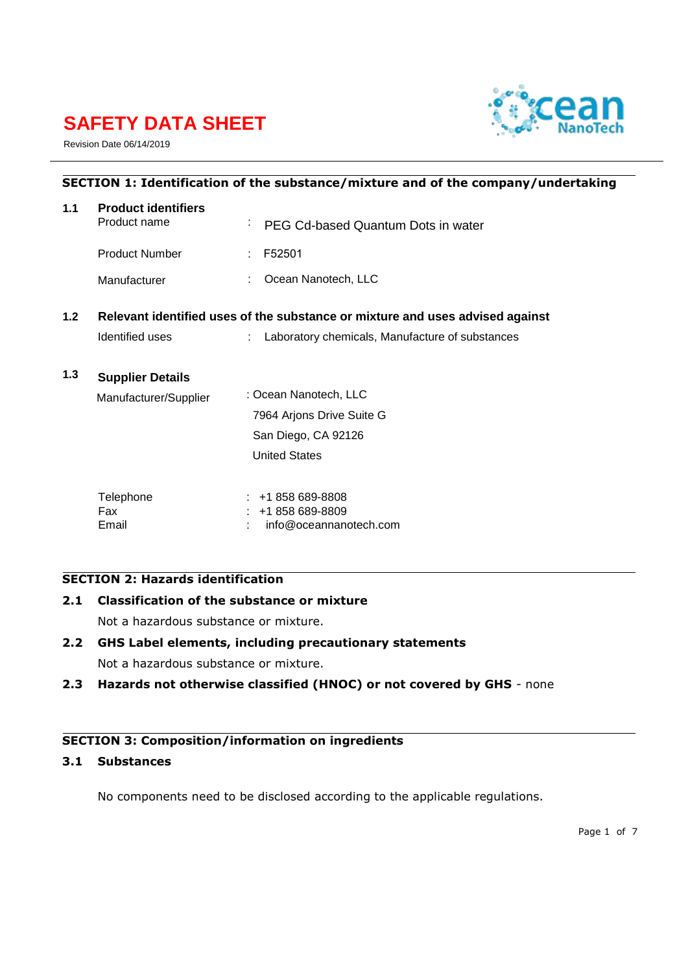# **SAFETY DATA SHEET**



Revision Date 06/14/2019

| SECTION 1: Identification of the substance/mixture and of the company/undertaking |                                                                               |                                                 |  |
|-----------------------------------------------------------------------------------|-------------------------------------------------------------------------------|-------------------------------------------------|--|
| 1.1                                                                               | <b>Product identifiers</b><br>Product name                                    | <sup>:</sup> PEG Cd-based Quantum Dots in water |  |
|                                                                                   | <b>Product Number</b>                                                         | F52501<br>÷.                                    |  |
|                                                                                   | Manufacturer                                                                  | Ocean Nanotech, LLC                             |  |
| 1.2                                                                               | Relevant identified uses of the substance or mixture and uses advised against |                                                 |  |
|                                                                                   | Identified uses                                                               | Laboratory chemicals, Manufacture of substances |  |
| 1.3                                                                               | <b>Supplier Details</b>                                                       |                                                 |  |
|                                                                                   | Manufacturer/Supplier                                                         | : Ocean Nanotech, LLC                           |  |
|                                                                                   |                                                                               | 7964 Arjons Drive Suite G                       |  |
|                                                                                   |                                                                               | San Diego, CA 92126                             |  |
|                                                                                   |                                                                               | <b>United States</b>                            |  |
|                                                                                   | Telephone<br>Fax                                                              | $: 1858689-8808$<br>+1 858 689-8809             |  |
|                                                                                   |                                                                               |                                                 |  |

Email : info@oceannanotech.com

# **SECTION 2: Hazards identification**

**2.1 Classification of the substance or mixture** 

Not a hazardous substance or mixture.

# **2.2 GHS Label elements, including precautionary statements**

Not a hazardous substance or mixture.

**2.3 Hazards not otherwise classified (HNOC) or not covered by GHS** - none

# **SECTION 3: Composition/information on ingredients**

# **3.1 Substances**

No components need to be disclosed according to the applicable regulations.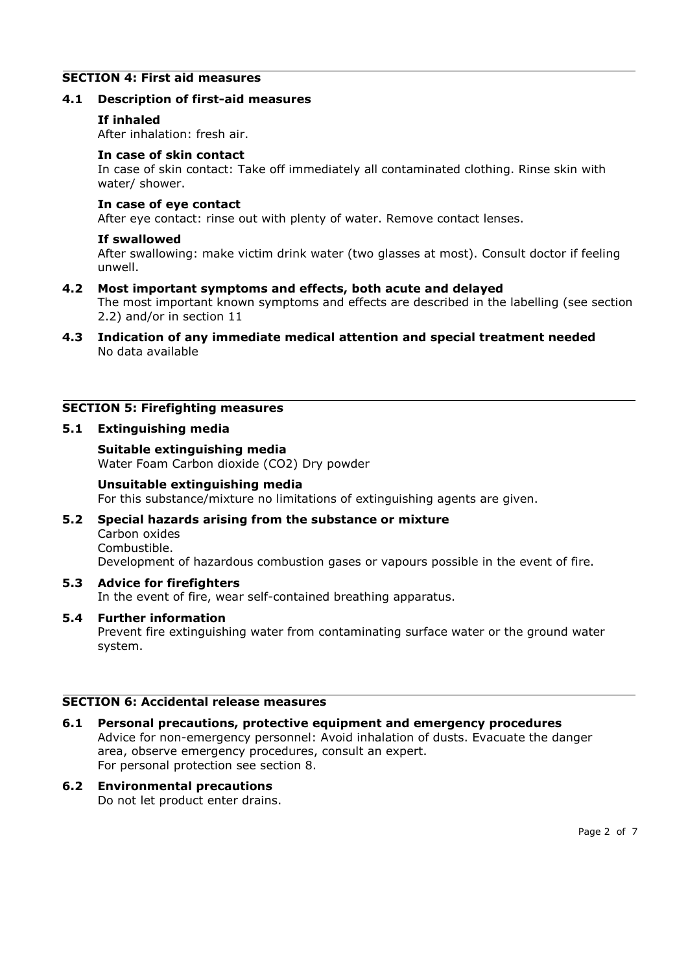# **SECTION 4: First aid measures**

# **4.1 Description of first-aid measures**

# **If inhaled**

After inhalation: fresh air.

#### **In case of skin contact**

In case of skin contact: Take off immediately all contaminated clothing. Rinse skin with water/ shower.

#### **In case of eye contact**

After eye contact: rinse out with plenty of water. Remove contact lenses.

#### **If swallowed**

After swallowing: make victim drink water (two glasses at most). Consult doctor if feeling unwell.

## **4.2 Most important symptoms and effects, both acute and delayed**

The most important known symptoms and effects are described in the labelling (see section 2.2) and/or in section 11

**4.3 Indication of any immediate medical attention and special treatment needed**  No data available

## **SECTION 5: Firefighting measures**

## **5.1 Extinguishing media**

#### **Suitable extinguishing media**

Water Foam Carbon dioxide (CO2) Dry powder

#### **Unsuitable extinguishing media**

For this substance/mixture no limitations of extinguishing agents are given.

#### **5.2 Special hazards arising from the substance or mixture**  Carbon oxides

Combustible.

Development of hazardous combustion gases or vapours possible in the event of fire.

## **5.3 Advice for firefighters**

In the event of fire, wear self-contained breathing apparatus.

# **5.4 Further information**

Prevent fire extinguishing water from contaminating surface water or the ground water system.

# **SECTION 6: Accidental release measures**

# **6.1 Personal precautions, protective equipment and emergency procedures**  Advice for non-emergency personnel: Avoid inhalation of dusts. Evacuate the danger area, observe emergency procedures, consult an expert. For personal protection see section 8.

# **6.2 Environmental precautions**

Do not let product enter drains.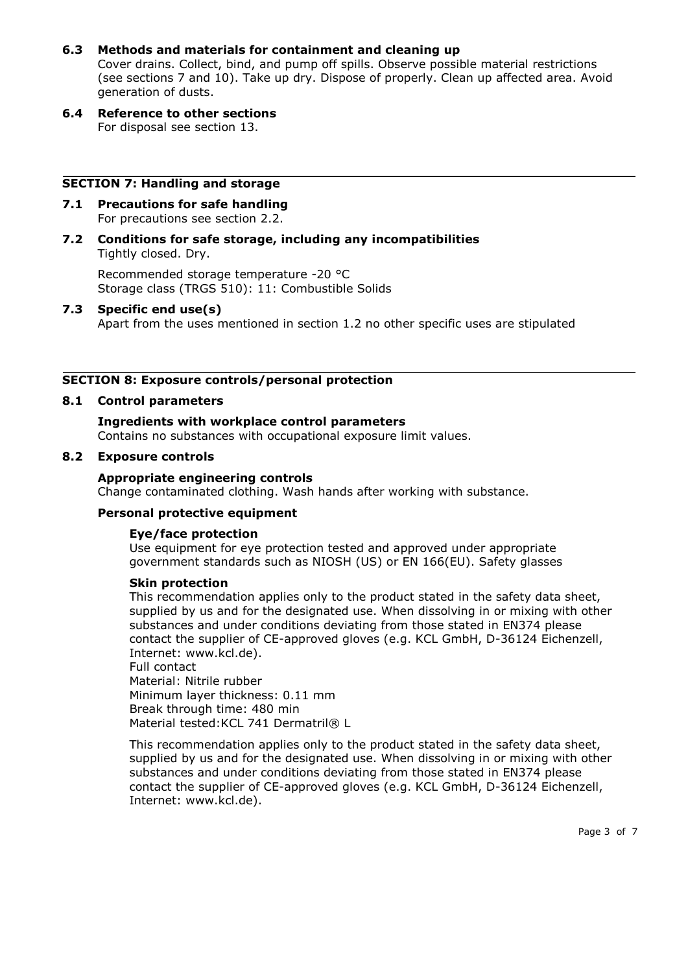# **6.3 Methods and materials for containment and cleaning up**

Cover drains. Collect, bind, and pump off spills. Observe possible material restrictions (see sections 7 and 10). Take up dry. Dispose of properly. Clean up affected area. Avoid generation of dusts.

**6.4 Reference to other sections**  For disposal see section 13.

#### **SECTION 7: Handling and storage**

- **7.1 Precautions for safe handling**  For precautions see section 2.2.
- **7.2 Conditions for safe storage, including any incompatibilities**  Tightly closed. Dry.

Recommended storage temperature -20 °C Storage class (TRGS 510): 11: Combustible Solids

# **7.3 Specific end use(s)**

Apart from the uses mentioned in section 1.2 no other specific uses are stipulated

#### **SECTION 8: Exposure controls/personal protection**

#### **8.1 Control parameters**

#### **Ingredients with workplace control parameters**  Contains no substances with occupational exposure limit values.

#### **8.2 Exposure controls**

#### **Appropriate engineering controls**

Change contaminated clothing. Wash hands after working with substance.

#### **Personal protective equipment**

## **Eye/face protection**

Use equipment for eye protection tested and approved under appropriate government standards such as NIOSH (US) or EN 166(EU). Safety glasses

#### **Skin protection**

This recommendation applies only to the product stated in the safety data sheet, supplied by us and for the designated use. When dissolving in or mixing with other substances and under conditions deviating from those stated in EN374 please contact the supplier of CE-approved gloves (e.g. KCL GmbH, D-36124 Eichenzell, Internet: www.kcl.de).

Full contact Material: Nitrile rubber Minimum layer thickness: 0.11 mm Break through time: 480 min Material tested: KCL 741 Dermatril® L

This recommendation applies only to the product stated in the safety data sheet, supplied by us and for the designated use. When dissolving in or mixing with other substances and under conditions deviating from those stated in EN374 please contact the supplier of CE-approved gloves (e.g. KCL GmbH, D-36124 Eichenzell, Internet: www.kcl.de).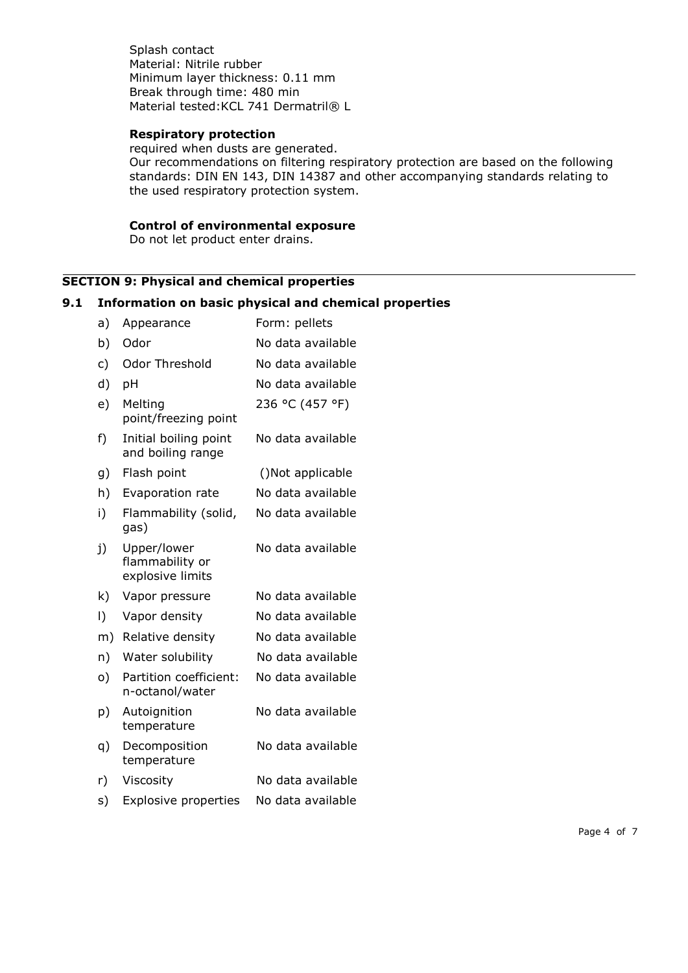Splash contact Material: Nitrile rubber Minimum layer thickness: 0.11 mm Break through time: 480 min Material tested: KCL 741 Dermatril® L

# **Respiratory protection**

required when dusts are generated. Our recommendations on filtering respiratory protection are based on the following standards: DIN EN 143, DIN 14387 and other accompanying standards relating to the used respiratory protection system.

# **Control of environmental exposure**

Do not let product enter drains.

# **SECTION 9: Physical and chemical properties**

# **9.1 Information on basic physical and chemical properties**

| Appearance                                         | Form: pellets     |
|----------------------------------------------------|-------------------|
| Odor                                               | No data available |
| <b>Odor Threshold</b>                              | No data available |
| pH                                                 | No data available |
| Melting<br>point/freezing point                    | 236 °C (457 °F)   |
| Initial boiling point<br>and boiling range         | No data available |
| Flash point                                        | ()Not applicable  |
| Evaporation rate                                   | No data available |
| Flammability (solid,<br>gas)                       | No data available |
| Upper/lower<br>flammability or<br>explosive limits | No data available |
| Vapor pressure                                     | No data available |
| Vapor density                                      | No data available |
| Relative density                                   | No data available |
| Water solubility                                   | No data available |
| Partition coefficient:<br>n-octanol/water          | No data available |
| Autoignition<br>temperature                        | No data available |
| Decomposition<br>temperature                       | No data available |
| Viscosity                                          | No data available |
| <b>Explosive properties</b>                        | No data available |
|                                                    |                   |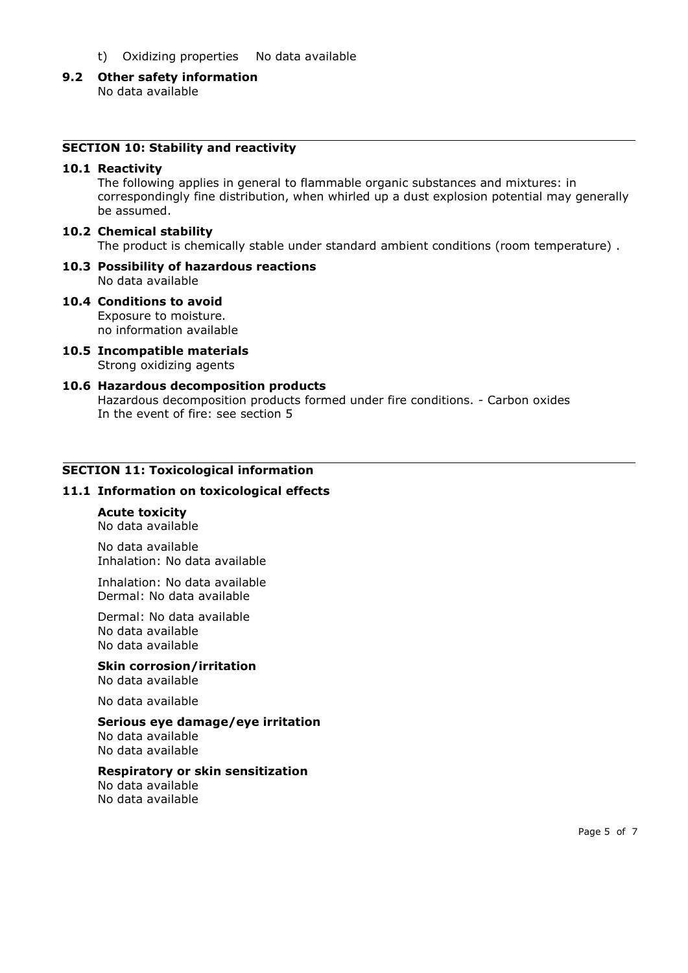- t) Oxidizing properties No data available
- **9.2 Other safety information**

No data available

# **SECTION 10: Stability and reactivity**

#### **10.1 Reactivity**

The following applies in general to flammable organic substances and mixtures: in correspondingly fine distribution, when whirled up a dust explosion potential may generally be assumed.

#### **10.2 Chemical stability**

The product is chemically stable under standard ambient conditions (room temperature) .

## **10.3 Possibility of hazardous reactions**  No data available

- **10.4 Conditions to avoid**  Exposure to moisture. no information available
- **10.5 Incompatible materials**  Strong oxidizing agents

#### **10.6 Hazardous decomposition products**  Hazardous decomposition products formed under fire conditions. - Carbon oxides

In the event of fire: see section 5

## **SECTION 11: Toxicological information**

## **11.1 Information on toxicological effects**

## **Acute toxicity**

No data available

No data available Inhalation: No data available

Inhalation: No data available Dermal: No data available

Dermal: No data available No data available No data available

**Skin corrosion/irritation**  No data available

No data available

#### **Serious eye damage/eye irritation**

No data available No data available

## **Respiratory or skin sensitization**

No data available No data available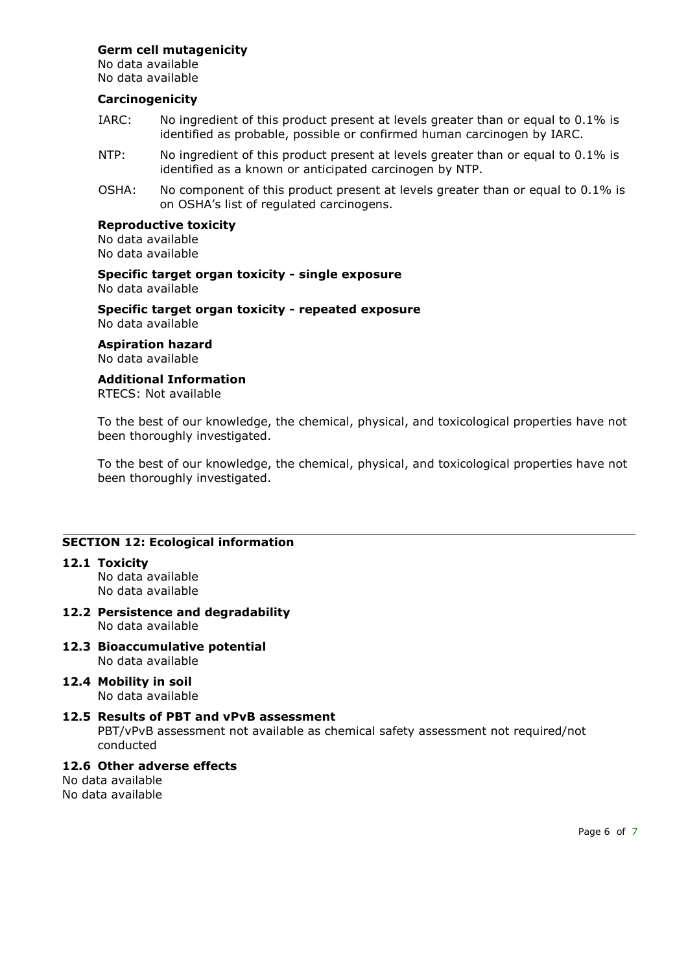# **Germ cell mutagenicity**

No data available No data available

# **Carcinogenicity**

- IARC: No ingredient of this product present at levels greater than or equal to 0.1% is identified as probable, possible or confirmed human carcinogen by IARC.
- NTP: No ingredient of this product present at levels greater than or equal to 0.1% is identified as a known or anticipated carcinogen by NTP.
- OSHA: No component of this product present at levels greater than or equal to 0.1% is on OSHA's list of regulated carcinogens.

## **Reproductive toxicity**

No data available No data available

**Specific target organ toxicity - single exposure**  No data available

**Specific target organ toxicity - repeated exposure**  No data available

**Aspiration hazard** 

No data available

# **Additional Information**

RTECS: Not available

To the best of our knowledge, the chemical, physical, and toxicological properties have not been thoroughly investigated.

To the best of our knowledge, the chemical, physical, and toxicological properties have not been thoroughly investigated.

# **SECTION 12: Ecological information**

**12.1 Toxicity** 

No data available No data available

- **12.2 Persistence and degradability**  No data available
- **12.3 Bioaccumulative potential**  No data available
- **12.4 Mobility in soil**  No data available

# **12.5 Results of PBT and vPvB assessment**

PBT/vPvB assessment not available as chemical safety assessment not required/not conducted

# **12.6 Other adverse effects**

No data available No data available